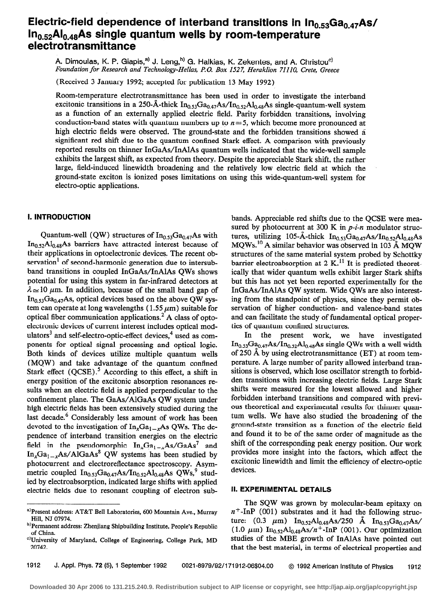# Electric-field dependence of interband transitions in  $In_{0.53}Ga_{0.47}As/$  $In_{0.52}$ AI<sub>0.48</sub>As single quantum wells by room-temperature electrotransmittance

A. Dimoulas, K. P. Giapis,<sup>a)</sup> J. Leng,<sup>b)</sup> G. Halkias, K. Zekentes, and A. Christou<sup>c)</sup> Foundation for Research and Technology-Hellas, P.O. Box 1527, Heraklion 71110, Crete, Greece

(Received 3 January 1992; accepted for publication 13 May 1992)

Room-temperature electrotransmittance has been used in order to investigate the interband excitonic transitions in a 250-Å-thick  $In_{0.53}Ga_{0.47}As/In_{0.52}Al_{0.48}As$  single-quantum-well system as a function of an externally applied electric field. Parity forbidden transitions, involving conduction-band states with quantum numbers up to  $n = 5$ , which become more pronounced at high electric fields were observed. The ground-state and the forbidden transitions showed a significant red shift due to the quantum confined Stark effect. A comparison with previously reported results on thinner InGaAs/InAlAs quantum wells indicated that the wide-well sample exhibits the largest shift, as expected from theory. Despite the appreciable Stark shift, the rather large, field-induced linewidth broadening and the relatively low electric field at which the ground-state exciton is ionized poses limitations on using this wide-quantum-well system for electro-optic applications.

### 1. INTRODUCTION

Quantum-well (QW) structures of  $In<sub>0.53</sub>Ga<sub>0.47</sub>As with$  $In_{0.52}Al_{0.48}As$  barriers have attracted interest because of their applications in optoelectronic devices. The recent observation<sup>1</sup> of second-harmonic generation due to intersubband transitions in coupled InGaAs/InAlAs QWs shows potential for using this system in far-infrared detectors at  $\lambda \approx 10$  µm. In addition, because of the small band gap of  $In_{0.53}Ga_{0.47}As$ , optical devices based on the above QW system can operate at long wavelengths (1.55  $\mu$ m) suitable for optical fiber communication applications.<sup>2</sup> A class of optoelectronic devices of current interest includes optical modulators<sup>3</sup> and self-electro-optic-effect devices,<sup>4</sup> used as components for optical signal processing and optical logic. Both kinds of devices utilize multiple quantum wells (MQW) and take advantage of the quantum confined Stark effect  $(OCSE)$ .<sup>5</sup> According to this effect, a shift in energy position of the excitonic absorption resonances results when an electric field is applied perpendicular to the confinement plane. The GaAs/AlGaAs QW system under high electric fields has been extensively studied during the last decade.<sup>6</sup> Considerably less amount of work has been devoted to the investigation of  $In_xGa_{1-x}As$  QWs. The dependence of interband transition energies on the electric field in the pseudomorphic  $In_xGa_{1-x}As/GaAs^7$  and  $In_xGa_{1-x}As/AlGaAs^8$  QW systems has been studied by photocurrent and electroreflectance spectroscopy. Asymmetric coupled  $In_{0.53}Ga_{0.47}As/In_{0.52}Al_{0.48}As$  QWs,<sup>9</sup> studied by electroabsorption, indicated large shifts with applied electric fields due to resonant coupling of electron subbands. Appreciable red shifts due to the QCSE were measured by photocurrent at 300 K in  $p-i-n$  modulator structures, utilizing 105-Å-thick  $In_{0.53}Ga_{0.47}As/In_{0.52}Al_{0.48}As$ MQWs." A similar behavior was observed in 103 A MQW structures of the same material system probed by Schottky barrier electroabsorption at 2 K.<sup>11</sup> It is predicted theoretically that wider quantum wells exhibit larger Stark shifts but this has not yet been reported experimentally for the InGaAs/InAlAs QW system. Wide QWs are also interesting from the standpoint of physics, since they permit observation of higher conduction- and valence-band states and can facilitate the study of fundamental optical properties of quantum confmed structures.

In the present work, we have investigated  $In<sub>0.53</sub>Ga<sub>0.47</sub>As/In<sub>0.52</sub>Al<sub>0.48</sub>As single QWs with a well width$ of 250 A by using electrotransmittance (ET) at room temperature. A large number of parity allowed interband transitions is observed, which lose oscillator strength to forbidden transitions with increasing electric fields. Large Stark shifts were measured for the lowest allowed and higher forbidden interband transitions and compared with previous theoretical and experimental results for thinner quantum wells. We have also studied the broadening of the ground-state transition as a function of the electric field and found it to be of the same order of magnitude as the shift of the corresponding peak energy position. Our work provides more insight into the factors, which affect the excitonic linewidth and limit the efficiency of electro-optic devices.

# **II. EXPERIMENTAL DETAILS**

The SQW was grown by molecular-beam epitaxy on  $n^+$ -InP (001) substrates and it had the following structure: (0.3  $\mu$ m) In<sub>0.52</sub>Al<sub>0.48</sub>As/250 Å In<sub>0.53</sub>Ga<sub>0.47</sub>As/ (1.0  $\mu$ m) In<sub>0.52</sub>Al<sub>0.48</sub>As/n<sup>+</sup>-InP (001). Our optimization studies of the MBE growth of InAlAs have pointed out that the best material, in terms of electrical properties and

a)Present address: AT&T Bell Laboratories, 600 Mountain Ave., Murray Hill, NJ 07974.

b)Permanent address: Zhenjiang Shipbuilding Institute, People's Republic of China.

<sup>&</sup>quot;University of Maryland, College of Engineering, College Park, MD 20742.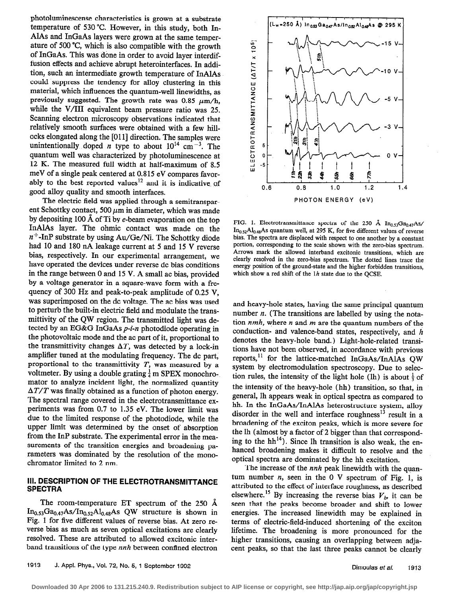photoluminescense characteristics is grown at a substrate temperature of 530 "C. However, in this study, both In-AlAs and InGaAs layers were grown at the same temperature of 500  $^{\circ}$ C, which is also compatible with the growth of InGaAs. This was done in order to avoid layer interdiffusion effects and achieve abrupt heterointerfaces. In addition, such an intermediate growth temperature of InAlAs could suppress the tendency for alloy clustering in this material, which influences the quantum-well linewidths, as previously suggested. The growth rate was 0.85  $\mu$ m/h, while the V/III equivalent beam pressure ratio was 25. Scanning electron microscopy observations indicated that relatively smooth surfaces were obtained with a few hillocks elongated along the [01 l] direction. The samples were unintentionally doped *n* type to about  $10^{14}$  cm<sup>-3</sup>. The quantum well was characterized by photoluminescence at 12 K. The measured full width at half-maximum of 8.5 meV of a single peak centered at 0.8 15 eV compares favorably to the best reported values<sup>12</sup> and it is indicative of good alloy quality and smooth interfaces.

The electric field was applied through a semitransparent Schottky contact, 500  $\mu$ m in diameter, which was made by depositing 100 A of Ti by e-beam evaporation on the top InAlAs layer. The ohmic contact was made on the  $n^+$ -InP substrate by using Au/Ge/Ni. The Schottky diode had 10 and 180 nA leakage current at 5 and 15 V reverse bias, respectively. In our experimental arrangement, we have operated the devices under reverse dc bias conditions in the range between 0 and 15 V. A small ac bias, provided by a voltage generator in a square-wave form with a frequency of 300 Hz and peak-to-peak amplitude of 0.25 V, was superimposed on the dc voltage. The ac bias was used to perturb the built-in electric field and modulate the transmittivity of the QW region. The transmitted light was detected by an EG&G InGaAs  $p-i-n$  photodiode operating in the photovoltaic mode and the ac part of it, proportional to the transmittivity changes  $\Delta T$ , was detected by a lock-in amplifier tuned at the modulating frequency. The dc part, proportional to the transmittivity  $T$ , was measured by a voltmeter. By using a double grating  $\frac{1}{4}$  m SPEX monochromator to analyze incident light, the normalized quantity  $\Delta T/T$  was finally obtained as a function of photon energy. The spectral range covered in the electrotransmittance experiments was from 0.7 to 1.35 eV. The lower limit was due to the limited response of the photodiode, while the upper limit was determined by the onset of absorption from the InP substrate. The experimental error in the measurements of the transition energies and broadening parameters was dominated by the resolution of the monochromator limited to 2 nm.

### Ill. DESCRIPTION OF THE ELECTROTRANSMITTANCE SPECTRA

The room-temperature ET spectrum of the 250 A  $In<sub>0.53</sub>Ga<sub>0.47</sub>As/In<sub>0.52</sub>AI<sub>0.48</sub>As QW structure is shown in$ Fig. 1 for five different values of reverse bias. At zero reverse bias as much as seven optical excitations are clearly resolved. These are attributed to allowed excitonic interband transitions of the type nnh between confined electron



FIG. 1. Electrotransmittance spectra of the 250 Å  $In<sub>0.53</sub>Ga<sub>0.47</sub>As/$  $In_{0.52}Al_{0.48}As$  quantum well, at 295 K, for five different values of reverse bias. The spectra are displaced with respect to one another by a constant portion, corresponding to the scale shown with the zero-bias spectrum. Arrows mark the allowed interband excitonic transitions, which are clearly resolved in the zero-bias spectrum. The dotted lines trace the energy position of the ground-state and the higher forbidden transitions, which show a red shift of the lh state due to the QCSE.

and heavy-hole states, having the same principal quantum number *n*. (The transitions are labelled by using the notation  $nmh$ , where n and m are the quantum numbers of the conduction- and valence-band states, respectively, and  $h$ denotes the heavy-hole band. ) Light-hole-related transitions have not been observed, in accordance with previous reports,<sup>11</sup> for the lattice-matched InGaAs/InAlAs QW system by electromodulation spectroscopy. Due to selection rules, the intensity of the light hole (lh) is about  $\frac{1}{3}$  of the intensity of the heavy-hole (hh) transition, so that, in general, lh appears weak in optical spectra as compared to hh. In the InGaAs/InAlAs heterostructure system, alloy disorder in the well and interface roughness<sup>13</sup> result in a broadening of the exciton peaks, which is more severe for the lh (almost by a factor of 2 bigger than that corresponding to the  $hh^{14}$ ). Since lh transition is also weak, the enhanced broadening makes it difficult to resolve and the optical spectra are dominated by the hh excitation.

The increase of the *nnh* peak linewidth with the quantum number  $n$ , seen in the 0 V spectrum of Fig. 1, is attributed to the effect of interface roughness, as described elsewhere.<sup>15</sup> By increasing the reverse bias  $V_b$ , it can be seen that the peaks become broader and shift to lower energies. The increased linewidth may be explained in terms of electric-field-induced shortening of the exciton lifetime. The broadening is more pronounced for the higher transitions, causing an overlapping between adjacent peaks, so that the last three peaks cannot be clearly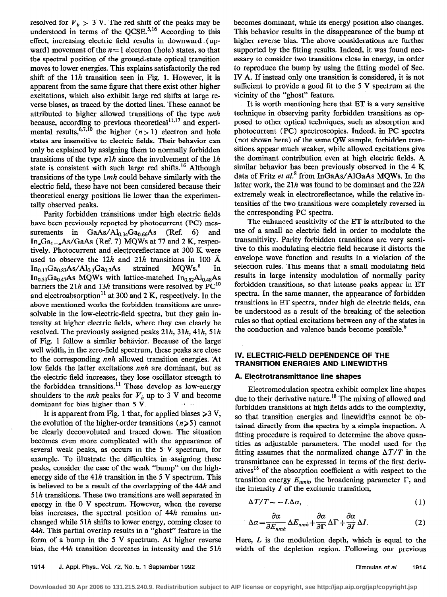resolved for  $V_b > 3$  V. The red shift of the peaks may be understood in terms of the  $QCSE$ .<sup>5,16</sup> According to this effect, increasing electric field results in downward (upward) movement of the  $n = 1$  electron (hole) states, so that the spectral position of the ground-state optical transition moves to lower energies. This explains satisfactorily the red shift of the  $11h$  transition seen in Fig. 1. However, it is apparent from the same figure that there exist other higher excitations, which also exhibit large red shifts at large reverse biases, as traced by the dotted lines. These cannot be attributed to higher allowed transitions of the type nnh because, according to previous theoretical $1^{11,17}$  and experimental results,  $6,7,10$  the higher  $(n > 1)$  electron and hole states are insensitive to electric fields. Their behavior can only be explained by assigning them to normally forbidden transitions of the type  $n1h$  since the involvement of the  $1h$ state is consistent with such large red shifts.<sup>16</sup> Although transitions of the type lmh could behave similarly with the electric field, these have not been considered because their theoretical energy positions lie lower than the experimentally observed peaks.

Parity forbidden transitions under high electric fields have been previously reported by photocurrent (PC) measurements in  $GaAs/Al<sub>0.34</sub>Ga<sub>0.66</sub>As$  (Ref. 6) and  $In_xGa_{1-x}As/GaAs$  (Ref. 7) MQWs at 77 and 2 K, respectively. Photocurrent and electroreflectance at 300 K were used to observe the 12h and 21h transitions in 100 Å<br> $In_{0.17}Ga_{0.83}As/Al_{0.3}Ga_{0.7}As$  strained MOWs.<sup>8</sup> In  $In_{0.17}Ga_{0.83}As/Al_{0.3}Ga_{0.7}As$  strained MQWs.<sup>8</sup> In  $In_{0.53}Ga_{0.47}As$  MQWs with lattice-matched  $In_{0.52}Al_{0.48}As$ barriers the 21h and 13h transitions were resolved by  $PC^{10}$ and electroabsorption<sup>11</sup> at 300 and 2 K, respectively. In the above mentioned works the forbidden transitions are unresolvable in the low-electric-field spectra, but they gain intensity at higher electric fields, where they can clearly be resolved. The previously assigned peaks  $21h$ ,  $31h$ ,  $41h$ ,  $51h$ of Fig. 1 follow a similar behavior. Because of the large well width, in the zero-field spectrum, these peaks are close to the corresponding nnh allowed transition 'energies. 'At low fields the latter excitations *nnh* are dominant, but as the electric field increases, they lose oscillator strength to the forbidden transitions.<sup>11</sup> These develop as low-energy shoulders to the *nnh* peaks for  $V_b$  up to 3 V and become dominant for bias higher than 5 V.  $\sim 10^{-1}$  m s

It is apparent from Fig. 1 that, for applied biases  $\geq 3$  V, the evolution of the higher-order transitions  $(n\geq 5)$  cannot be clearly deconvoluted and traced down. The situation becomes even more complicated with the appearance of several weak peaks, as occurs in the 5 V spectrum, for example. To illustrate the difficulties in assigning these peaks, consider the case of the weak "bump" on the highenergy side of the  $41h$  transition in the 5 V spectrum. This is believed to be a result of the overlapping of the 44h and 51h transitions. These two transitions are well separated in energy in the 0 V spectrum. However, when the reverse bias increases, the spectral position of 44h remains unchanged while  $51h$  shifts to lower energy, coming closer to 44h. This partial overlap results in a "ghost" feature in the form of a bump in the 5 V spectrum. At higher reverse bias, the 44h transition decreases in intensity and the 51h

becomes dominant, while its energy position also changes. This behavior results in the disappearance of the bump at higher reverse bias. The above considerations are further supported by the fitting results. Indeed, it was found necessary to consider two transitions close in energy, in order to reproduce the bump by using the fitting model of Sec. IV A. If instead only one transition is considered, it is not sufficient to provide a good fit to the 5 V spectrum at the vicinity of the "ghost" feature.

It is worth mentioning here that ET is a very sensitive technique in observing parity forbidden transitions as opposed to other optical techniques, such as absorption and photocurrent (PC) spectroscopies. Indeed, in PC spectra (not shown here) of the same QW sample, forbidden transitions appear much weaker, while allowed excitations give the dominant contribution even at high electric fields. A similar behavior has been previously observed in the 4 K data of Fritz et al.<sup>8</sup> from InGaAs/AlGaAs MQWs. In the latter work, the  $21h$  was found to be dominant and the  $22h$ extremely weak in electroreflectance, while the relative intensities of the two transitions were completely reversed in the corresponding PC spectra.

The enhanced sensitivity of the ET is attributed to the use of a small ac electric field in order to modulate the transmitivity- Parity forbidden transitions are very sensitive to this modulating electric field because it distorts the envelope wave function and results in a violation of the selection rules. This means that a small modulating field results in large intensity modulation of normally parity forbidden transitions, so that intense peaks appear in ET spectra. In the same manner, the appearance of forbidden transitions in ET spectra, under high dc electric fields, can be understood as a result of the breaking of the selection rules so that optical excitations between any of the states in the conduction and valence bands become possible.<sup>6</sup>

# IV. ELECTRIC-FIELD DEPENDENCE OF THE TRANSITION ENERGlES AND LINEWIDTHS

# A. Electrotransmittance line shapes

Electromodulation spectra exhibit complex line shapes due to their derivative nature.<sup>18</sup> The mixing of allowed and forbidden transitions at high fields adds to the complexity, so that transition energies and linewidths cannot be obtained directly from the spectra by a simple inspection. A fitting procedure is required to determine the above quantities as adjustable parameters. The model used for the fitting assumes that the normalized change  $\Delta T/T$  in the transmittance can be expressed in terms of the first derivatives<sup>18</sup> of the absorption coefficient  $\alpha$  with respect to the transition energy  $E_{nmh}$ , the broadening parameter  $\Gamma$ , and the intensity  $I$  of the excitonic transition,

$$
\Delta T/T \simeq -L\Delta \alpha, \qquad (1)
$$

$$
\Delta \alpha = \frac{\partial \alpha}{\partial E_{nmh}} \Delta E_{nmh} + \frac{\partial \alpha}{\partial \Gamma} \Delta \Gamma + \frac{\partial \alpha}{\partial I} \Delta I.
$$
 (2)

Here,  $L$  is the modulation depth, which is equal to the width of the depletion region. Following our previous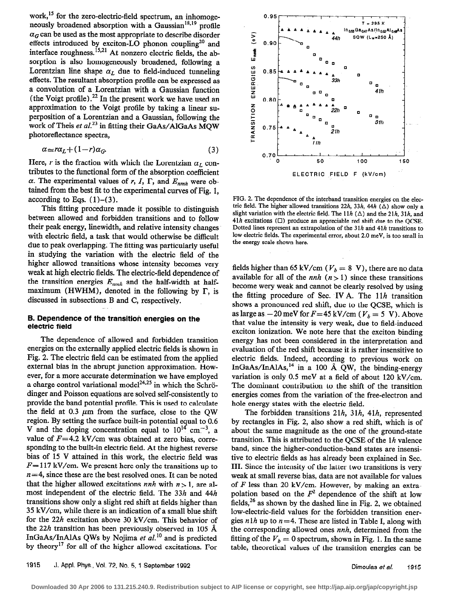work,<sup>15</sup> for the zero-electric-field spectrum, an inhomogeneously broadened absorption with a Gaussian<sup>18,19</sup> profile  $\alpha_G$  can be used as the most appropriate to describe disorder effects introduced by exciton-LO phonon coupling<sup>20</sup> and interface roughness.<sup>15,21</sup> At nonzero electric fields, the absorption is also homogeneously broadened, following a Lorentzian line shape  $\alpha_L$  due to field-induced tunneling effects. The resultant absorption profile can be expressed as a convolution of a Lorentzian with a Gaussian function (the Voigt profile). $^{22}$  In the present work we have used an approximation to the Voigt profile by taking a linear superposition of a Lorentzian and a Gaussian, following the work of Theis et  $al^{23}$  in fitting their GaAs/AlGaAs MQW photoreflectance spectra,

$$
\alpha \simeq r\alpha_L + (1-r)\alpha_G. \tag{3}
$$

Here, r is the fraction with which the Lorentzian  $\alpha_L$  contributes to the functional form of the absorption coefficient  $\alpha$ . The experimental values of r, I,  $\Gamma$ , and  $E_{nmh}$  were obtained from the best fit to the experimental curves of Fig. 1, according to Eqs.  $(1)$ – $(3)$ .

This fitting procedure made it possible to distinguish between allowed and forbidden transitions and to follow their peak energy, linewidth, and relative intensity changes with electric field, a task that would otherwise be difficult due to peak overlapping. The fitting was particularly useful in studying the variation with the electric field of the higher allowed transitions whose intensity becomes very weak at high electric fields. The electric-field dependence of the transition energies  $E_{nmh}$  and the half-width at halfmaximum (HWHM), denoted in the following by  $\Gamma$ , is discussed in subsections B and C, respectively.

# B. Dependence of the transition energies on the electric field

The dependence of allowed and forbidden transition energies on the externally applied electric fields is shown in Fig. 2. The electric field can be estimated from the applied external bias in the abrupt junction approximation. However, for a more accurate determination we have employed a charge control variational model<sup>24,25</sup> in which the Schrödinger and Poisson equations are solved self-consistently to provide the band potential profile. This is used to calculate the field at 0.3  $\mu$ m from the surface, close to the QW region. By setting the surface built-in potential equal to 0.6 V and the doping concentration equal to  $10^{14}$  cm<sup>-3</sup>, a value of  $F=4.2$  kV/cm was obtained at zero bias, corresponding to the built-in electric field. At the highest reverse bias of 15 V attained in this work, the electric field was  $F=117$  kV/cm. We present here only the transitions up to  $n=4$ , since these are the best resolved ones. It can be noted that the higher allowed excitations *nnh* with  $n > 1$ , are almost independent of the electric field. The 33h and 44h transitions show only a slight red shift at fields higher than 35 kV/cm, while there is an indication of a small blue shift for the 22h excitation above 30 kV/cm. This behavior of the 22h transition has been previously observed in 105  $\AA$ InGaAs/InAlAs QWs by Nojima et  $al$ .<sup>10</sup> and is predicted by theory<sup>17</sup> for all of the higher allowed excitations. For



FIG. 2. The dependence of the interband transition energies on the electric field. The higher allowed transitions 22h, 33h, 44h ( $\Delta$ ) show only a slight variation with the electric field. The 11h ( $\Delta$ ) and the 21h, 31h, and 41h excitations  $(\Box)$  produce an appreciable red shift due to the QCSE. Dotted lines represent an extrapolation of the 31h and 41h transitions to low electric fields. The experimental error, about 2.0 meV, is too small in the energy scale shown here.

fields higher than 65 kV/cm ( $V_b = 8$  V), there are no data available for all of the *nnh*  $(n > 1)$  since these transitions become wery weak and cannot be clearly resolved by using the fitting procedure of Sec. IV A. The  $11h$  transition shows a pronounced red shift, due to the QCSE, which is as large as  $-20$  meV for  $F=45$  kV/cm ( $V_b = 5$  V). Above that value the intensity is very weak, due to field-induced exciton ionization. We note here that the exciton binding energy has not been considered in the interpretation and evaluation of the red shift because it is rather insensitive to electric fields. Indeed, according to previous work on InGaAs/InAlAs,  $^{14}$  in a 100 Å QW, the binding-energy variation is only 0.5 meV at a field of about 120 kV/cm. The dominant contribution to the shift of the transition energies comes from the variation of the free-electron and hole energy states with the electric field.

The forbidden transitions  $21h$ ,  $31h$ ,  $41h$ , represented by rectangles in Fig. 2, also show a red shift, which is of about the same magnitude as the one of the ground-state transition. This is attributed to the OCSE of the  $1h$  valence band, since the higher-conduction-band states are insensitive to electric fields as has already been explained in Sec. III. Since the intensity of the latter two transitions is very weak at small reverse bias, data are not available for values of  $F$  less than 20 kV/cm. However, by making an extrapolation based on the  $F^2$  dependence of the shift at low fields,26 as shown by the dashed line in Fig. 2, we obtained low-electric-field values for the forbidden transition energies n 1h up to  $n = 4$ . These are listed in Table I, along with the corresponding allowed ones nnh, determined from the fitting of the  $V_b = 0$  spectrum, shown in Fig. 1. In the same table, theoretical values of the transition energies can be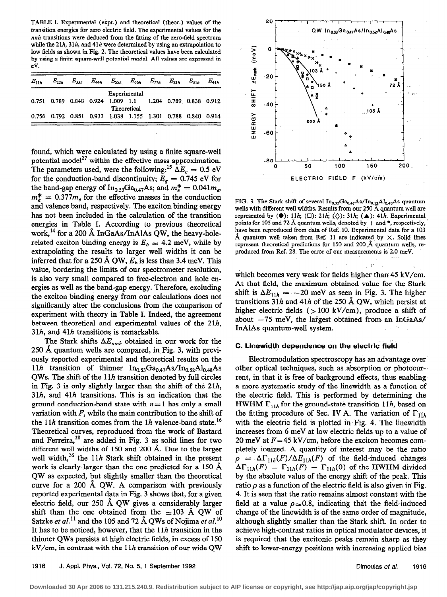TABLE I. Experimental (expt.) and theoretical (theor.) values of the transition energies for zero electric field. The experimental values for the nnh transitions were deduced from the fitting of the zero-field spectrum while the 21h, 31h, and 41h were determined by using an extrapolation to low fields as shown in Fig. 2. The theoretical values have been calculated by using a finite square-well potential model. All values are expressed in eV.

| $E_{11k}$ | $E_{22n}$ | $E_{33h}$ | $E_{44h}$ $E_{55h}$ $E_{66h}$ $E_{77h}$ $E_{21h}$           |              |  | $E_{\rm th}$ | $E_{41h}$ |
|-----------|-----------|-----------|-------------------------------------------------------------|--------------|--|--------------|-----------|
|           |           |           |                                                             | Experimental |  |              |           |
|           |           |           | 0.751 0.789 0.848 0.924 1.009 1.1 1.204 0.789 0.838 0.912   |              |  |              |           |
|           |           |           |                                                             | Theoretical  |  |              |           |
|           |           |           | 0.756 0.792 0.851 0.933 1.038 1.155 1.301 0.788 0.840 0.914 |              |  |              |           |

found, which were calculated by using a finite square-well potential model<sup>27</sup> within the effective mass approximation. The parameters used, were the following:<sup>15</sup>  $\Delta E_c = 0.5$  eV for the conduction-band discontinuity;  $E<sub>g</sub> = 0.745$  eV for the band-gap energy of  $\text{In}_{0.53}\text{Ga}_{0.47}\text{As}$ ; and  $m_e^* = 0.041m_e$ ,  $m_h^* = 0.377m_e$  for the effective masses in the conduction and valence band, respectively. The exciton binding energy has not been included in the calculation of the transition energies in Table I. According to previous theoretical work,<sup>14</sup> for a 200 Å InGaAs/InAlAs QW, the heavy-holerelated exciton binding energy is  $E_b \simeq 4.2$  meV, while by extrapolating the results to larger well widths it can be inferred that for a 250 Å QW,  $E<sub>b</sub>$  is less than 3.4 meV. This value, bordering the limits of our spectrometer resolution, is also very small compared to free-electron and hole energies as well as the band-gap energy. Therefore, excluding the exciton binding energy from our calculations does not significantly alter the conclusions from the comparison of experiment with theory in Table I. Indeed, the agreement between theoretical and experimental values of the  $21h$ ,  $31h$ , and  $41h$  transitions is remarkable.

The Stark shifts  $\Delta E_{nmh}$  obtained in our work for the 250 Å quantum wells are compared, in Fig. 3, with previously reported experimental and theoretical results on the 11h transition of thinner  $In_{0.53}Ga_{0.47}As/In_{0.52}Al_{0.48}As$ QWs. The shift of the 1 lh transition denoted by full circles in Fig. 3 is only slightly larger than the shift of the 2lh,  $31h$ , and  $41h$  transitions. This is an indication that the ground conduction-band state with  $n=1$  has only a small variation with  $F$ , while the main contribution to the shift of the 11h transition comes from the 1h valence-band state.<sup>16</sup> Theoretical curves, reproduced from the work of Bastard and Ferreira, $^{28}$  are added in Fig. 3 as solid lines for two different well widths of 150 and 200 A. Due to the larger well width,<sup>26</sup> the 11h Stark shift obtained in the present work is clearly larger than the one predicted for a 150 A QW as expected, but slightly smaller than the theoretical curve for a 200  $\AA$  QW. A comparison with previously reported experimental data in Fig. 3 shows that, for a given electric field, our 250  $\AA$  QW gives a considerably larger shift than the one obtained from the  $\simeq$  103 Å QW of Satzke *et al.*<sup>11</sup> and the 105 and 72 Å QWs of Nojima *et al.*<sup>10</sup> It has to be noticed, however, that the  $11h$  transition in the thinner QWs persists at high electric fields, in excess of 150 kV/cm, in contrast with the  $11h$  transition of our wide QW



FIG. 3. The Stark shift of several  $In_{0.53}Ga_{0.47}As/In_{0.52}Al_{0.48}As$  quantum wells with different well widths. Results from our  $250 \text{ Å}$  quantum well are represented by ( $\bullet$ ): 11h; ( $\square$ ): 21h; ( $\diamondsuit$ ): 31h; ( $\blacktriangle$ ): 41h. Experimental points for 105 and 72 Å quantum wells, denoted by  $+$  and  $*$ , respectively, have been reproduced from data of Ref. 10. Experimental data for a 103 Å quantum well taken from Ref. 11 are indicated by  $\times$ . Solid lines represent theoretical predictions for 150 and 200  $\AA$  quantum wells, reproduced from Ref. 28. The error of our measurements is 2.0 meV.

which becomes very weak for fields higher than 45 kV/cm. At that field, the maximum obtained value for the Stark shift is  $\Delta E_{11h} = -20$  meV as seen in Fig. 3. The higher transitions 31h and 41h of the 250 Å QW, which persist at higher electric fields ( $> 100 \text{ kV/cm}$ ), produce a shift of about  $-75$  meV, the largest obtained from an InGaAs/ InAlAs quantum-well system.

#### C. Linewidth dependence on the electric field

Electromodulation spectroscopy has an advantage over other optical techniques, such as absorption or photocurrent, in that it is free of background effects, thus enabling a more systematic study of the linewidth as a function of the electric field. This is performed by determining the HWHM  $\Gamma_{11h}$  for the ground-state transition 11h, based on the fitting procedure of Sec. IV A. The variation of  $\Gamma_{11h}$ with the electric field is plotted in Fig. 4. The linewidth increases from 6 meV at low electric fields up to a value of 20 meV at  $F=45 \text{ kV/cm}$ , before the exciton becomes completely ionized. A quantity of interest may be the ratio  $\rho = \Delta \Gamma_{11h}(F)/\Delta E_{11h}(F)$  of the field-induced changes  $\Delta\Gamma_{11h}(F) = \Gamma_{11h}(F) - \Gamma_{11h}(0)$  of the HWHM divided by the absolute value of the energy shift of the peak. This ratio  $\rho$  as a function of the electric field is also given in Fig. 4. It is seen that the ratio remains almost constant with the field at a value  $\rho \approx 0.8$ , indicating that the field-induced change of the linewidth is of the same order of magnitude, although slightly smaller than the Stark shift. In order to achieve high-contrast ratios in optical modulator devices, it is required that the excitonic peaks remain sharp as they shift to lower-energy positions with increasing applied bias